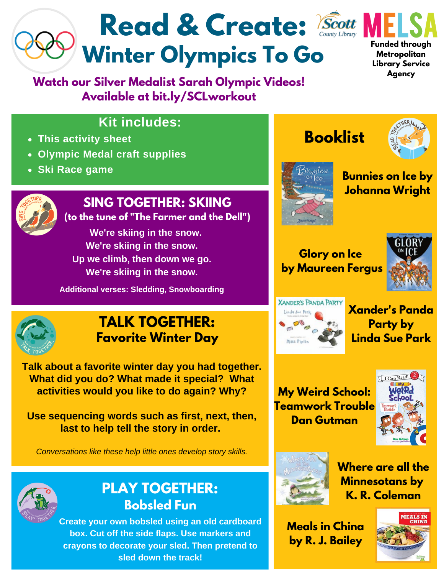# Read & Create: *Scott* **Winter Olympics To Go**

**Watch our Silver Medalist Sarah Olympic Videos! Available at bit.ly/SCLworkout**



**Funded through Metropolitan Library Service Agency**

### **Kit includes:**

- **This activity sheet**
- **Olympic Medal craft supplies**
- **Ski Race game**



## **SING TOGETHER: SKIING**

**(to the tune of "The Farmer and the Dell")**

**We're skiing in the snow. We're skiing in the snow. Up we climb, then down we go. We're skiing in the snow.**

**Additional verses: Sledding, Snowboarding**





### **Bunnies on Ice by Johanna Wright**

#### **Glory on Ice by Maureen Fergus**





**Xander's Panda Party by Linda Sue Park**

### **My Weird School: Teamwork Trouble Dan Gutman**





**Where are all the Minnesotans by K. R. Coleman**

**Meals in China by R. J. Bailey**





### **TALK TOGETHER: Favorite Winter Day**

**Talk about a favorite winter day you had together. What did you do? What made it special? What activities would you like to do again? Why?**

**Use sequencing words such as first, next, then, last to help tell the story in order.**

*Conversations like these help little ones develop story skills.*



### **PLAY TOGETHER: Bobsled Fun**

**Create your own bobsled using an old cardboard box. Cut off the side flaps. Use markers and crayons to decorate your sled. Then pretend to sled down the track!**